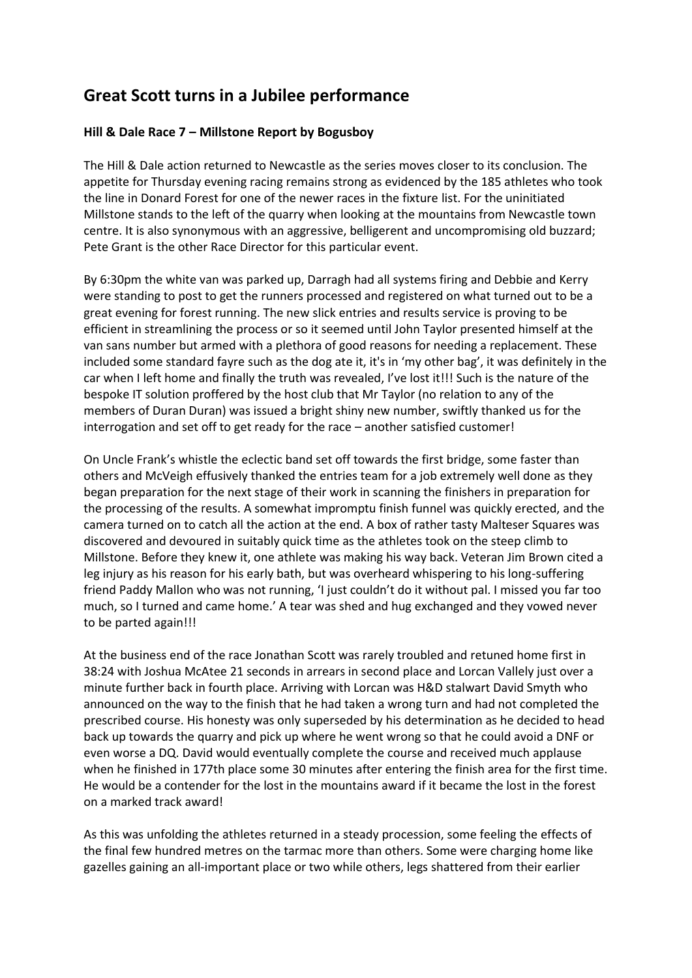## **Great Scott turns in a Jubilee performance**

## **Hill & Dale Race 7 – Millstone Report by Bogusboy**

The Hill & Dale action returned to Newcastle as the series moves closer to its conclusion. The appetite for Thursday evening racing remains strong as evidenced by the 185 athletes who took the line in Donard Forest for one of the newer races in the fixture list. For the uninitiated Millstone stands to the left of the quarry when looking at the mountains from Newcastle town centre. It is also synonymous with an aggressive, belligerent and uncompromising old buzzard; Pete Grant is the other Race Director for this particular event.

By 6:30pm the white van was parked up, Darragh had all systems firing and Debbie and Kerry were standing to post to get the runners processed and registered on what turned out to be a great evening for forest running. The new slick entries and results service is proving to be efficient in streamlining the process or so it seemed until John Taylor presented himself at the van sans number but armed with a plethora of good reasons for needing a replacement. These included some standard fayre such as the dog ate it, it's in 'my other bag', it was definitely in the car when I left home and finally the truth was revealed, I've lost it!!! Such is the nature of the bespoke IT solution proffered by the host club that Mr Taylor (no relation to any of the members of Duran Duran) was issued a bright shiny new number, swiftly thanked us for the interrogation and set off to get ready for the race – another satisfied customer!

On Uncle Frank's whistle the eclectic band set off towards the first bridge, some faster than others and McVeigh effusively thanked the entries team for a job extremely well done as they began preparation for the next stage of their work in scanning the finishers in preparation for the processing of the results. A somewhat impromptu finish funnel was quickly erected, and the camera turned on to catch all the action at the end. A box of rather tasty Malteser Squares was discovered and devoured in suitably quick time as the athletes took on the steep climb to Millstone. Before they knew it, one athlete was making his way back. Veteran Jim Brown cited a leg injury as his reason for his early bath, but was overheard whispering to his long-suffering friend Paddy Mallon who was not running, 'I just couldn't do it without pal. I missed you far too much, so I turned and came home.' A tear was shed and hug exchanged and they vowed never to be parted again!!!

At the business end of the race Jonathan Scott was rarely troubled and retuned home first in 38:24 with Joshua McAtee 21 seconds in arrears in second place and Lorcan Vallely just over a minute further back in fourth place. Arriving with Lorcan was H&D stalwart David Smyth who announced on the way to the finish that he had taken a wrong turn and had not completed the prescribed course. His honesty was only superseded by his determination as he decided to head back up towards the quarry and pick up where he went wrong so that he could avoid a DNF or even worse a DQ. David would eventually complete the course and received much applause when he finished in 177th place some 30 minutes after entering the finish area for the first time. He would be a contender for the lost in the mountains award if it became the lost in the forest on a marked track award!

As this was unfolding the athletes returned in a steady procession, some feeling the effects of the final few hundred metres on the tarmac more than others. Some were charging home like gazelles gaining an all-important place or two while others, legs shattered from their earlier